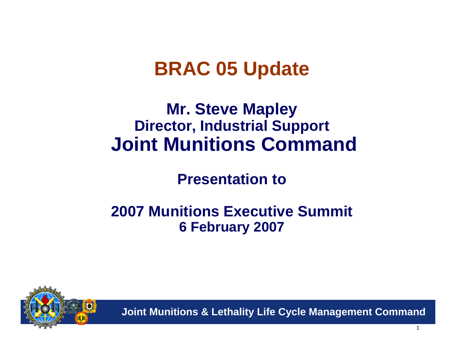# **BRAC 05 Update**

## **Mr. Steve Mapley Director, Industrial Support Joint Munitions Command**

### **Presentation to**

### **2007 Munitions Executive Summit 6 February 2007**

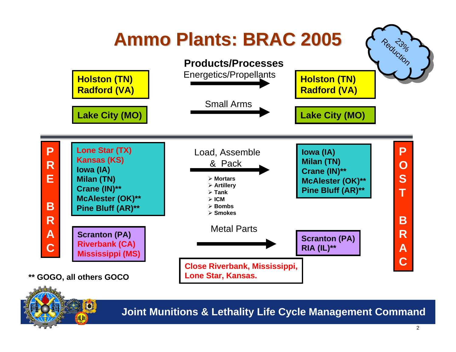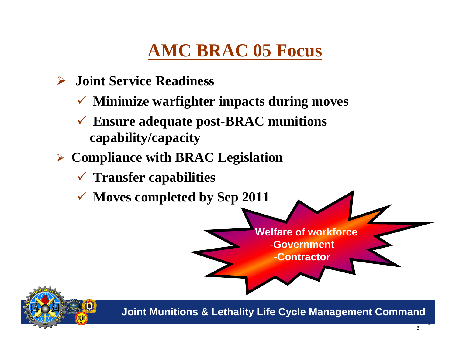# **AMC BRAC 05 Focus**

- ¾ **Jo** i**nt Service Readiness**
	- 9 **Minimize warfighter impacts during moves**
	- 9 **Ensure adequate post-BRAC munitions capability/capacity**
- ¾ **Compliance with BRAC Legislation**
	- 9 **Transfer capabilities**
	- 9 **Moves completed by Sep 2011**





**Joint Munitions & Lethality Life Cycle Management Command**

3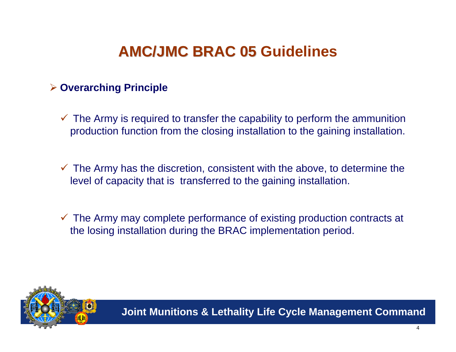## **AMC/JMC BRAC 05 Guidelines AMC/JMC BRAC 05**

#### ¾ **Overarching Principle**

- $\checkmark$  The Army is required to transfer the capability to perform the ammunition production function from the closing installation to the gaining installation.
- $\checkmark$  The Army has the discretion, consistent with the above, to determine the level of capacity that is transferred to the gaining installation.
- $\checkmark$  The Army may complete performance of existing production contracts at the losing installation during the BRAC implementation period.

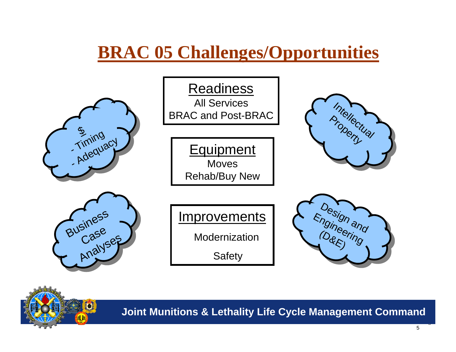## **BRAC 05 Challenges/Opportunities**



**Joint Munitions & Lethality Life Cycle Management Command**

5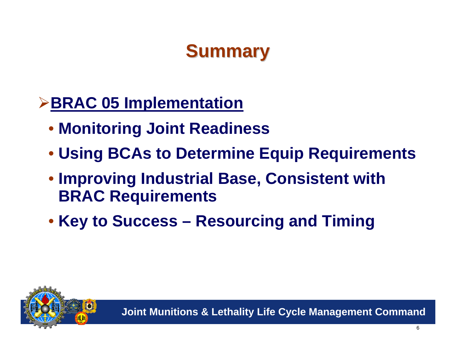# **Summary**

## ¾**BRAC 05 Implementation**

- **Monitoring Joint Readiness**
- **Using BCAs to Determine Equip Requirements**
- **Improving Industrial Base, Consistent with BRAC Requirements**
- **Key to Success – Resourcing and Timing**